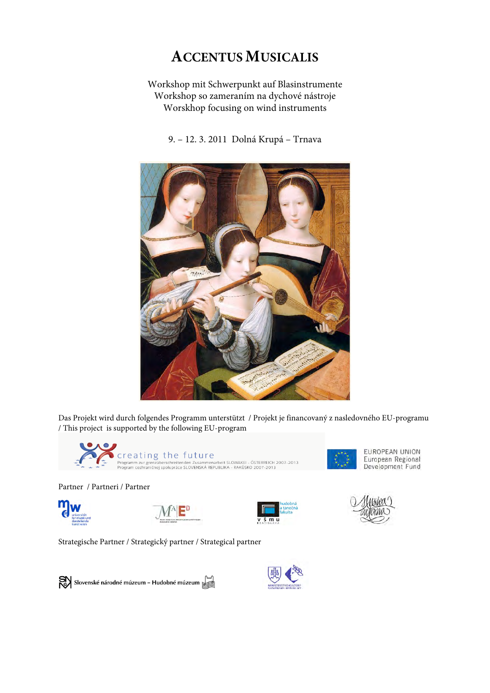# **ACCENTUS MUSICALIS**

Workshop mit Schwerpunkt auf Blasinstrumente Workshop so zameraním na dychové nástroje Worskhop focusing on wind instruments

9. – 12. 3. 2011 Dolná Krupá – Trnava



Das Projekt wird durch folgendes Programm unterstützt / Projekt je financovaný z nasledovného EU-programu / This project is supported by the following EU-program



 $\vdots$ 

Partner / Partneri / Partner















Strategische Partner / Strategický partner / Strategical partner

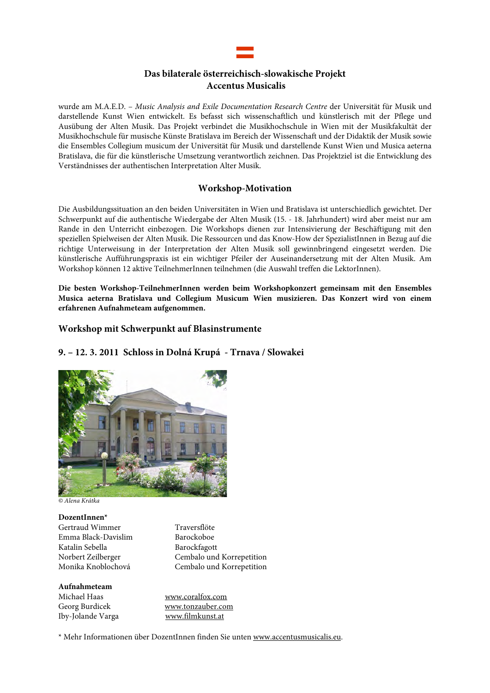# **Das bilaterale österreichisch-slowakische Projekt Accentus Musicalis**

wurde am M.A.E.D. – Music Analysis and Exile Documentation Research Centre der Universität für Musik und darstellende Kunst Wien entwickelt. Es befasst sich wissenschaftlich und künstlerisch mit der Pflege und Ausübung der Alten Musik. Das Projekt verbindet die Musikhochschule in Wien mit der Musikfakultät der Musikhochschule für musische Künste Bratislava im Bereich der Wissenschaft und der Didaktik der Musik sowie die Ensembles Collegium musicum der Universität für Musik und darstellende Kunst Wien und Musica aeterna Bratislava, die für die künstlerische Umsetzung verantwortlich zeichnen. Das Projektziel ist die Entwicklung des Verständnisses der authentischen Interpretation Alter Musik.

# **Workshop-Motivation**

Die Ausbildungssituation an den beiden Universitäten in Wien und Bratislava ist unterschiedlich gewichtet. Der Schwerpunkt auf die authentische Wiedergabe der Alten Musik (15. - 18. Jahrhundert) wird aber meist nur am Rande in den Unterricht einbezogen. Die Workshops dienen zur Intensivierung der Beschäftigung mit den speziellen Spielweisen der Alten Musik. Die Ressourcen und das Know-How der SpezialistInnen in Bezug auf die richtige Unterweisung in der Interpretation der Alten Musik soll gewinnbringend eingesetzt werden. Die künstlerische Aufführungspraxis ist ein wichtiger Pfeiler der Auseinandersetzung mit der Alten Musik. Am Workshop können 12 aktive TeilnehmerInnen teilnehmen (die Auswahl treffen die LektorInnen).

**Die besten Workshop-TeilnehmerInnen werden beim Workshopkonzert gemeinsam mit den Ensembles Musica aeterna Bratislava und Collegium Musicum Wien musizieren. Das Konzert wird von einem erfahrenen Aufnahmeteam aufgenommen.** 

# **Workshop mit Schwerpunkt auf Blasinstrumente**

# **9. – 12. 3. 2011 Schloss in Dolná Krupá - Trnava / Slowakei**



© Alena Krátka

**DozentInnen\*** Gertraud Wimmer Traversflöte<br>
Emma Black-Davislim Barockoboe Emma Black-Davislim Katalin Sebella Barockfagott

Norbert Zeilberger Cembalo und Korrepetition Cembalo und Korrepetition

#### **Aufnahmeteam**

Iby-Jolande Varga www.filmkunst.at

Michael Haas www.coralfox.com Georg Burdicek www.tonzauber.com

\* Mehr Informationen über DozentInnen finden Sie unten www.accentusmusicalis.eu.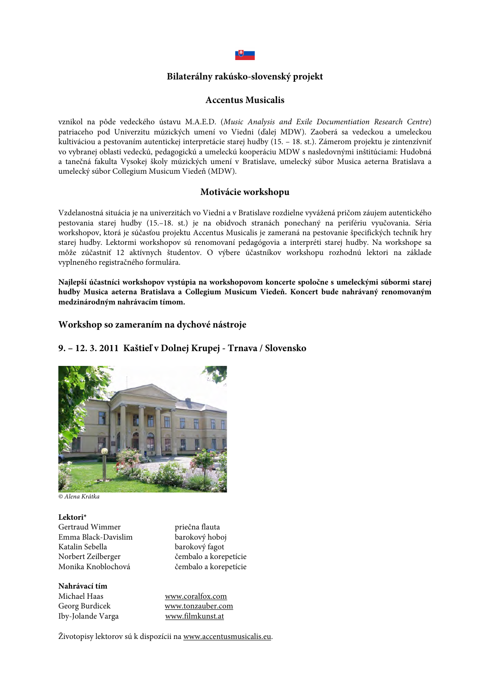

# **Bilaterálny rakúsko-slovenský projekt**

#### **Accentus Musicalis**

vznikol na pôde vedeckého ústavu M.A.E.D. (Music Analysis and Exile Documentiation Research Centre) patriaceho pod Univerzitu múzických umení vo Viedni (ďalej MDW). Zaoberá sa vedeckou a umeleckou kultiváciou a pestovaním autentickej interpretácie starej hudby (15. – 18. st.). Zámerom projektu je zintenzívniť vo vybranej oblasti vedeckú, pedagogickú a umeleckú kooperáciu MDW s nasledovnými inštitúciami: Hudobná a tanečná fakulta Vysokej školy múzických umení v Bratislave, umelecký súbor Musica aeterna Bratislava a umelecký súbor Collegium Musicum Viedeň (MDW).

#### **Motivácie workshopu**

Vzdelanostná situácia je na univerzitách vo Viedni a v Bratislave rozdielne vyvážená pričom záujem autentického pestovania starej hudby (15.–18. st.) je na obidvoch stranách ponechaný na perifériu vyučovania. Séria workshopov, ktorá je súčasťou projektu Accentus Musicalis je zameraná na pestovanie špecifických techník hry starej hudby. Lektormi workshopov sú renomovaní pedagógovia a interpréti starej hudby. Na workshope sa môže zúčastniť 12 aktívnych študentov. O výbere účastníkov workshopu rozhodnú lektori na základe vyplneného registračného formulára.

**Najlepší účastníci workshopov vystúpia na workshopovom koncerte spoločne s umeleckými súbormi starej hudby Musica aeterna Bratislava a Collegium Musicum Viedeň. Koncert bude nahrávaný renomovaným medzinárodným nahrávacím tímom.** 

# **Workshop so zameraním na dychové nástroje**

# **9. – 12. 3. 2011 Kaštieľ v Dolnej Krupej - Trnava / Slovensko**



© Alena Krátka

**Lektori\*** Gertraud Wimmer priečna flauta<br>Emma Black-Davislim barokový hoboj Emma Black-Davislim<br>Katalin Sebella Katalin Sebella barokový fagot<br>Norbert Zeilberger čembalo a kore Norbert Zeilberger čembalo a korepetície

čembalo a korepetície

# **Nahrávací tím**

Iby-Jolande Varga

Michael Haas www.coralfox.com Georg Burdicek www.tonzauber.com<br>
Iby-Jolande Varga www.filmkunst.at

Životopisy lektorov sú k dispozícii na www.accentusmusicalis.eu.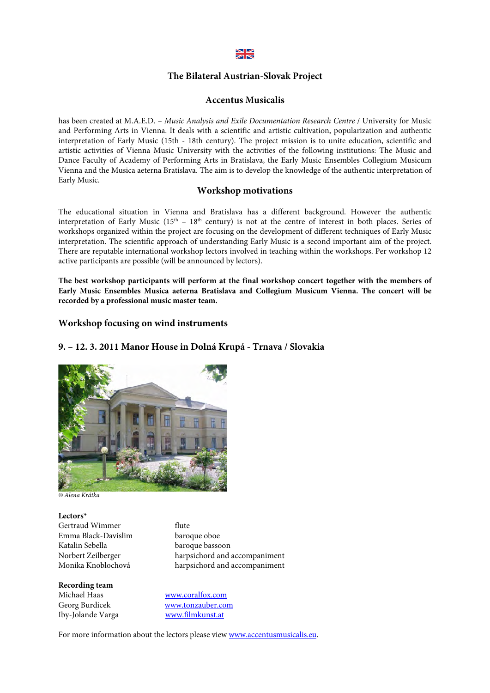# $\geq$

#### **The Bilateral Austrian-Slovak Project**

#### **Accentus Musicalis**

has been created at M.A.E.D. - Music Analysis and Exile Documentation Research Centre / University for Music and Performing Arts in Vienna. It deals with a scientific and artistic cultivation, popularization and authentic interpretation of Early Music (15th - 18th century). The project mission is to unite education, scientific and artistic activities of Vienna Music University with the activities of the following institutions: The Music and Dance Faculty of Academy of Performing Arts in Bratislava, the Early Music Ensembles Collegium Musicum Vienna and the Musica aeterna Bratislava. The aim is to develop the knowledge of the authentic interpretation of Early Music.

## **Workshop motivations**

The educational situation in Vienna and Bratislava has a different background. However the authentic interpretation of Early Music ( $15<sup>th</sup> - 18<sup>th</sup>$  century) is not at the centre of interest in both places. Series of workshops organized within the project are focusing on the development of different techniques of Early Music interpretation. The scientific approach of understanding Early Music is a second important aim of the project. There are reputable international workshop lectors involved in teaching within the workshops. Per workshop 12 active participants are possible (will be announced by lectors).

**The best workshop participants will perform at the final workshop concert together with the members of Early Music Ensembles Musica aeterna Bratislava and Collegium Musicum Vienna. The concert will be recorded by a professional music master team.**

# **Workshop focusing on wind instruments**

## **9. – 12. 3. 2011 Manor House in Dolná Krupá - Trnava / Slovakia**



© Alena Krátka

**Lectors\*** Gertraud Wimmer flute<br>
Emma Black-Davislim baroque oboe Emma Black-Davislim<br>Katalin Sebella Katalin Sebella baroque bassoon<br>Norbert Zeilberger harpsichord and a

Norbert Zeilberger harpsichord and accompaniment harpsichord and accompaniment

**Recording team** Iby-Jolande Varga www.filmkunst.at

www.coralfox.com Georg Burdicek www.tonzauber.com

For more information about the lectors please view www.accentusmusicalis.eu.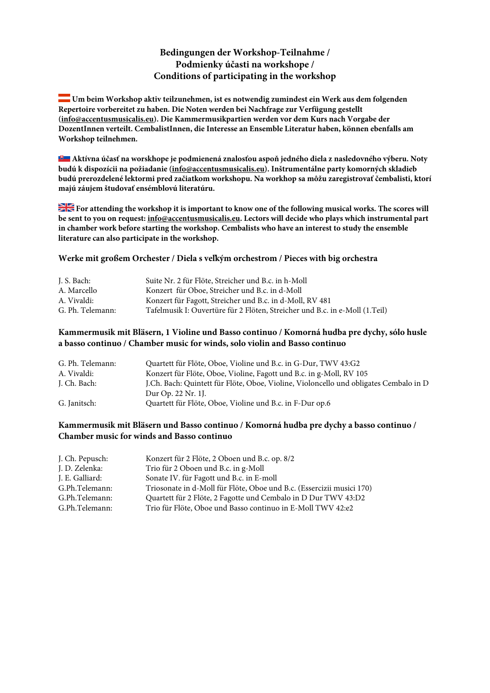# **Bedingungen der Workshop-Teilnahme / Podmienky účasti na workshope / Conditions of participating in the workshop**

 **Um beim Workshop aktiv teilzunehmen, ist es notwendig zumindest ein Werk aus dem folgenden Repertoire vorbereitet zu haben. Die Noten werden bei Nachfrage zur Verfügung gestellt (info@accentusmusicalis.eu). Die Kammermusikpartien werden vor dem Kurs nach Vorgabe der DozentInnen verteilt. CembalistInnen, die Interesse an Ensemble Literatur haben, können ebenfalls am Workshop teilnehmen.**

**Aktívna účasť na worskhope je podmienená znalosťou aspoň jedného diela z nasledovného výberu. Noty budú k dispozícii na požiadanie (info@accentusmusicalis.eu). Inštrumentálne party komorných skladieb budú prerozdelené lektormi pred začiatkom workshopu. Na workhop sa môžu zaregistrovať čembalisti, ktorí majú záujem študovať ensémblovú literatúru.**

**For attending the workshop it is important to know one of the following musical works. The scores will be sent to you on request: info@accentusmusicalis.eu. Lectors will decide who plays which instrumental part in chamber work before starting the workshop. Cembalists who have an interest to study the ensemble literature can also participate in the workshop.**

#### **Werke mit großem Orchester / Diela s veľkým orchestrom / Pieces with big orchestra**

| J. S. Bach:      | Suite Nr. 2 für Flöte, Streicher und B.c. in h-Moll                         |
|------------------|-----------------------------------------------------------------------------|
| A. Marcello      | Konzert für Oboe, Streicher und B.c. in d-Moll                              |
| A. Vivaldi:      | Konzert für Fagott, Streicher und B.c. in d-Moll, RV 481                    |
| G. Ph. Telemann: | Tafelmusik I: Ouvertüre für 2 Flöten, Streicher und B.c. in e-Moll (1.Teil) |

# **Kammermusik mit Bläsern, 1 Violine und Basso continuo / Komorná hudba pre dychy, sólo husle a basso continuo / Chamber music for winds, solo violin and Basso continuo**

| G. Ph. Telemann: | Quartett für Flöte, Oboe, Violine und B.c. in G-Dur, TWV 43:G2                        |
|------------------|---------------------------------------------------------------------------------------|
| A. Vivaldi:      | Konzert für Flöte, Oboe, Violine, Fagott und B.c. in g-Moll, RV 105                   |
| J. Ch. Bach:     | J.Ch. Bach: Quintett für Flöte, Oboe, Violine, Violoncello und obligates Cembalo in D |
|                  | Dur Op. 22 Nr. 1.                                                                     |
| G. Janitsch:     | Quartett für Flöte, Oboe, Violine und B.c. in F-Dur op.6                              |

# **Kammermusik mit Bläsern und Basso continuo / Komorná hudba pre dychy a basso continuo / Chamber music for winds and Basso continuo**

| J. Ch. Pepusch: | Konzert für 2 Flöte, 2 Oboen und B.c. op. 8/2                         |
|-----------------|-----------------------------------------------------------------------|
| J. D. Zelenka:  | Trio für 2 Oboen und B.c. in g-Moll                                   |
| J. E. Galliard: | Sonate IV. für Fagott und B.c. in E-moll                              |
| G.Ph.Telemann:  | Triosonate in d-Moll für Flöte, Oboe und B.c. (Essercizii musici 170) |
| G.Ph.Telemann:  | Quartett für 2 Flöte, 2 Fagotte und Cembalo in D Dur TWV 43:D2        |
| G.Ph.Telemann:  | Trio für Flöte, Oboe und Basso continuo in E-Moll TWV 42:e2           |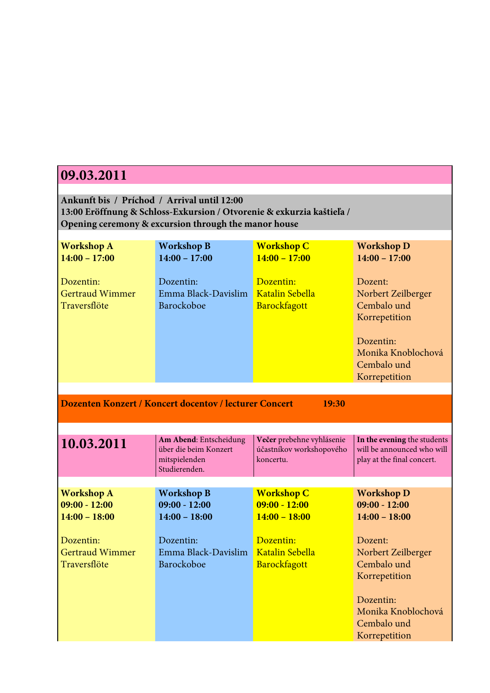| 09.03.2011                                                                                                                                                                   |                                                         |                                                         |                                                                                                                                  |
|------------------------------------------------------------------------------------------------------------------------------------------------------------------------------|---------------------------------------------------------|---------------------------------------------------------|----------------------------------------------------------------------------------------------------------------------------------|
|                                                                                                                                                                              |                                                         |                                                         |                                                                                                                                  |
| Ankunft bis / Príchod / Arrival until 12:00<br>13:00 Eröffnung & Schloss-Exkursion / Otvorenie & exkurzia kaštieľa /<br>Opening ceremony & excursion through the manor house |                                                         |                                                         |                                                                                                                                  |
| <b>Workshop A</b><br>$14:00 - 17:00$                                                                                                                                         | <b>Workshop B</b><br>$14:00 - 17:00$                    | <b>Workshop C</b><br>$14:00 - 17:00$                    | <b>Workshop D</b><br>$14:00 - 17:00$                                                                                             |
| Dozentin:<br><b>Gertraud Wimmer</b><br>Traversflöte                                                                                                                          | Dozentin:<br>Emma Black-Davislim<br>Barockoboe          | Dozentin:<br>Katalin Sebella<br>Barockfagott            | Dozent:<br>Norbert Zeilberger<br>Cembalo und<br>Korrepetition<br>Dozentin:<br>Monika Knoblochová<br>Cembalo und<br>Korrepetition |
|                                                                                                                                                                              |                                                         |                                                         |                                                                                                                                  |
|                                                                                                                                                                              | Dozenten Konzert / Koncert docentov / lecturer Concert  | 19:30                                                   |                                                                                                                                  |
| 10.03.2011                                                                                                                                                                   | Am Abend: Entscheidung<br>über die beim Konzert         | Večer prebehne vyhlásenie                               |                                                                                                                                  |
|                                                                                                                                                                              | mitspielenden<br>Studierenden.                          | účastníkov workshopového<br>koncertu.                   | In the evening the students<br>will be announced who will<br>play at the final concert.                                          |
|                                                                                                                                                                              |                                                         |                                                         |                                                                                                                                  |
| <b>Workshop A</b><br>$09:00 - 12:00$<br>$14:00 - 18:00$                                                                                                                      | <b>Workshop B</b><br>$09:00 - 12:00$<br>$14:00 - 18:00$ | <b>Workshop C</b><br>$09:00 - 12:00$<br>$14:00 - 18:00$ | <b>Workshop D</b><br>$09:00 - 12:00$<br>$14:00 - 18:00$                                                                          |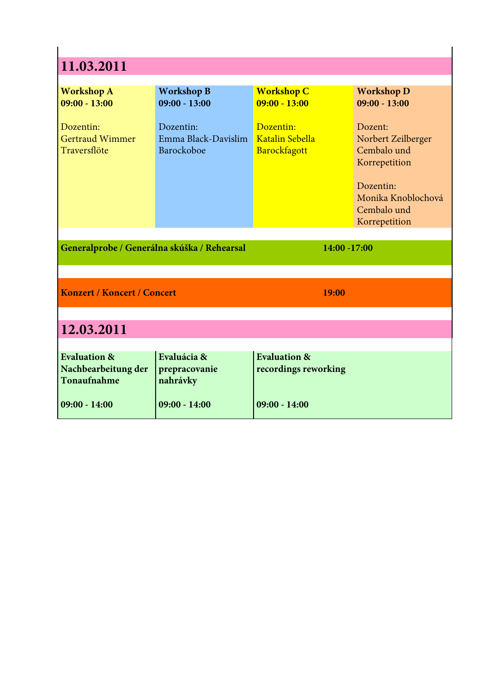| 11.03.2011                                                    |                                                |                                                 |                                                                                                                                  |  |
|---------------------------------------------------------------|------------------------------------------------|-------------------------------------------------|----------------------------------------------------------------------------------------------------------------------------------|--|
| <b>Workshop A</b><br>$09:00 - 13:00$                          | <b>Workshop B</b><br>$09:00 - 13:00$           | <b>Workshop C</b><br>$09:00 - 13:00$            | <b>Workshop D</b><br>$09:00 - 13:00$                                                                                             |  |
| Dozentin:<br><b>Gertraud Wimmer</b><br>Traversflöte           | Dozentin:<br>Emma Black-Davislim<br>Barockoboe | Dozentin:<br>Katalin Sebella<br>Barockfagott    | Dozent:<br>Norbert Zeilberger<br>Cembalo und<br>Korrepetition<br>Dozentin:<br>Monika Knoblochová<br>Cembalo und<br>Korrepetition |  |
| Generalprobe / Generálna skúška / Rehearsal                   |                                                | 14:00 -17:00                                    |                                                                                                                                  |  |
|                                                               |                                                |                                                 |                                                                                                                                  |  |
| <b>Konzert / Koncert / Concert</b>                            |                                                | 19:00                                           |                                                                                                                                  |  |
| 12.03.2011                                                    |                                                |                                                 |                                                                                                                                  |  |
| <b>Evaluation &amp;</b><br>Nachbearbeitung der<br>Tonaufnahme | Evaluácia &<br>prepracovanie<br>nahrávky       | <b>Evaluation &amp;</b><br>recordings reworking |                                                                                                                                  |  |
| $09:00 - 14:00$                                               | $09:00 - 14:00$                                | $09:00 - 14:00$                                 |                                                                                                                                  |  |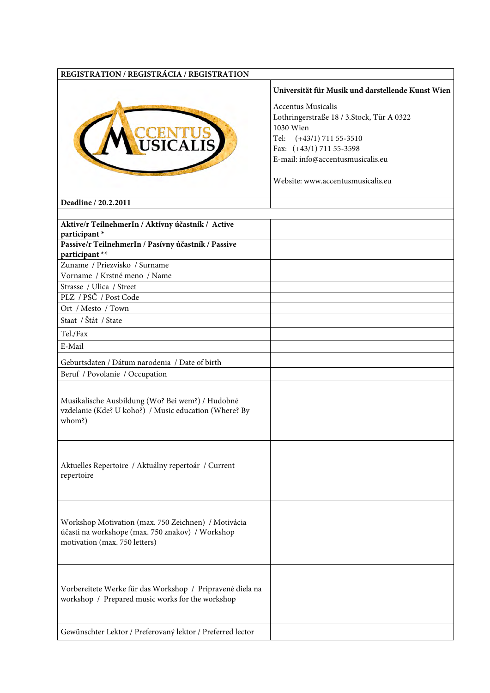| REGISTRATION / REGISTRÁCIA / REGISTRATION                                                                                                |                                                                                                                 |
|------------------------------------------------------------------------------------------------------------------------------------------|-----------------------------------------------------------------------------------------------------------------|
|                                                                                                                                          | Universität für Musik und darstellende Kunst Wien                                                               |
|                                                                                                                                          | <b>Accentus Musicalis</b><br>Lothringerstraße 18 / 3.Stock, Tür A 0322<br>1030 Wien<br>Tel: (+43/1) 711 55-3510 |
|                                                                                                                                          | Fax: (+43/1) 711 55-3598                                                                                        |
|                                                                                                                                          | E-mail: info@accentusmusicalis.eu                                                                               |
|                                                                                                                                          | Website: www.accentusmusicalis.eu                                                                               |
| Deadline / 20.2.2011                                                                                                                     |                                                                                                                 |
|                                                                                                                                          |                                                                                                                 |
| Aktive/r TeilnehmerIn / Aktívny účastník / Active                                                                                        |                                                                                                                 |
| participant*                                                                                                                             |                                                                                                                 |
| Passive/r TeilnehmerIn / Pasívny účastník / Passive                                                                                      |                                                                                                                 |
| participant**                                                                                                                            |                                                                                                                 |
| Zuname / Priezvisko / Surname<br>Vorname / Krstné meno / Name                                                                            |                                                                                                                 |
| Strasse / Ulica / Street                                                                                                                 |                                                                                                                 |
| PLZ / PSČ / Post Code                                                                                                                    |                                                                                                                 |
| Ort / Mesto / Town                                                                                                                       |                                                                                                                 |
| Staat / Štát / State                                                                                                                     |                                                                                                                 |
|                                                                                                                                          |                                                                                                                 |
| Tel./Fax                                                                                                                                 |                                                                                                                 |
| E-Mail                                                                                                                                   |                                                                                                                 |
| Geburtsdaten / Dátum narodenia / Date of birth                                                                                           |                                                                                                                 |
| Beruf / Povolanie / Occupation                                                                                                           |                                                                                                                 |
|                                                                                                                                          |                                                                                                                 |
| Musikalische Ausbildung (Wo? Bei wem?) / Hudobné<br>vzdelanie (Kde? U koho?) / Music education (Where? By<br>whom?)                      |                                                                                                                 |
| Aktuelles Repertoire / Aktuálny repertoár / Current<br>repertoire                                                                        |                                                                                                                 |
| Workshop Motivation (max. 750 Zeichnen) / Motivácia<br>účasti na workshope (max. 750 znakov) / Workshop<br>motivation (max. 750 letters) |                                                                                                                 |
| Vorbereitete Werke für das Workshop / Pripravené diela na<br>workshop / Prepared music works for the workshop                            |                                                                                                                 |
| Gewünschter Lektor / Preferovaný lektor / Preferred lector                                                                               |                                                                                                                 |